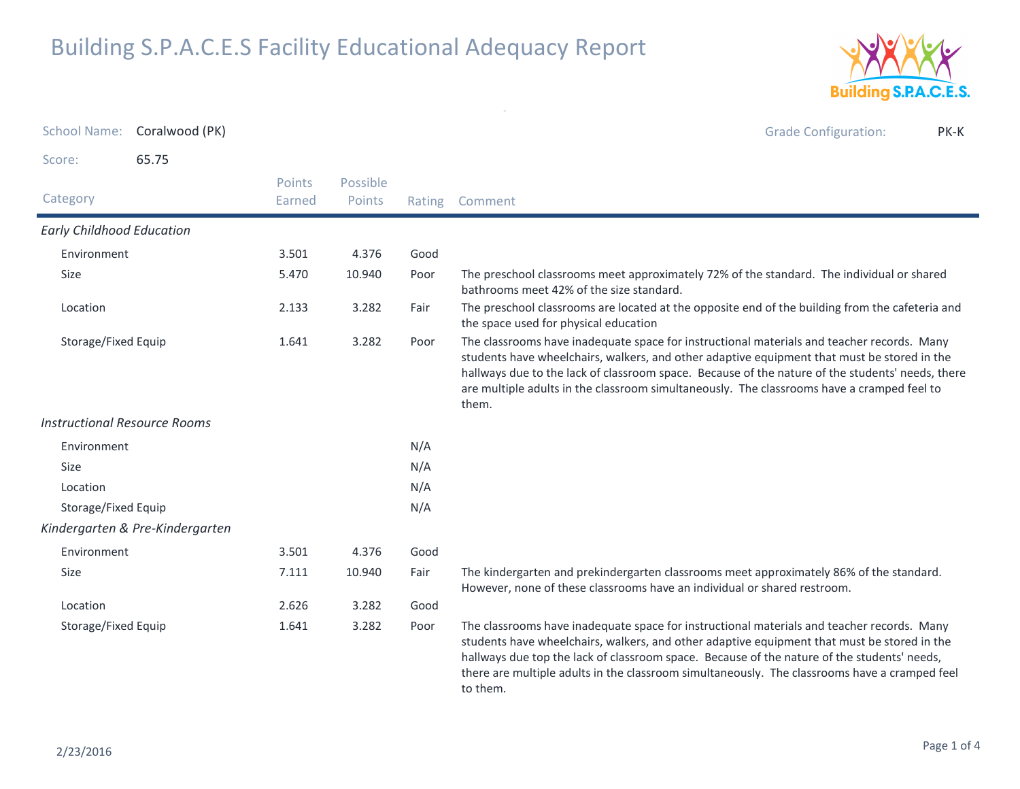

| <b>School Name:</b>                 | Coralwood (PK)                  |                         |                    |      | <b>Grade Configuration:</b><br>PK-K                                                                                                                                                                                                                                                                                                                                                                   |
|-------------------------------------|---------------------------------|-------------------------|--------------------|------|-------------------------------------------------------------------------------------------------------------------------------------------------------------------------------------------------------------------------------------------------------------------------------------------------------------------------------------------------------------------------------------------------------|
| Score:                              | 65.75                           |                         |                    |      |                                                                                                                                                                                                                                                                                                                                                                                                       |
| Category                            |                                 | <b>Points</b><br>Earned | Possible<br>Points |      | Rating Comment                                                                                                                                                                                                                                                                                                                                                                                        |
| <b>Early Childhood Education</b>    |                                 |                         |                    |      |                                                                                                                                                                                                                                                                                                                                                                                                       |
| Environment                         |                                 | 3.501                   | 4.376              | Good |                                                                                                                                                                                                                                                                                                                                                                                                       |
| Size                                |                                 | 5.470                   | 10.940             | Poor | The preschool classrooms meet approximately 72% of the standard. The individual or shared<br>bathrooms meet 42% of the size standard.                                                                                                                                                                                                                                                                 |
| Location                            |                                 | 2.133                   | 3.282              | Fair | The preschool classrooms are located at the opposite end of the building from the cafeteria and<br>the space used for physical education                                                                                                                                                                                                                                                              |
| Storage/Fixed Equip                 |                                 | 1.641                   | 3.282              | Poor | The classrooms have inadequate space for instructional materials and teacher records. Many<br>students have wheelchairs, walkers, and other adaptive equipment that must be stored in the<br>hallways due to the lack of classroom space. Because of the nature of the students' needs, there<br>are multiple adults in the classroom simultaneously. The classrooms have a cramped feel to<br>them.  |
| <b>Instructional Resource Rooms</b> |                                 |                         |                    |      |                                                                                                                                                                                                                                                                                                                                                                                                       |
| Environment                         |                                 |                         |                    | N/A  |                                                                                                                                                                                                                                                                                                                                                                                                       |
| Size                                |                                 |                         |                    | N/A  |                                                                                                                                                                                                                                                                                                                                                                                                       |
| Location                            |                                 |                         |                    | N/A  |                                                                                                                                                                                                                                                                                                                                                                                                       |
| Storage/Fixed Equip                 |                                 |                         |                    | N/A  |                                                                                                                                                                                                                                                                                                                                                                                                       |
|                                     | Kindergarten & Pre-Kindergarten |                         |                    |      |                                                                                                                                                                                                                                                                                                                                                                                                       |
| Environment                         |                                 | 3.501                   | 4.376              | Good |                                                                                                                                                                                                                                                                                                                                                                                                       |
| <b>Size</b>                         |                                 | 7.111                   | 10.940             | Fair | The kindergarten and prekindergarten classrooms meet approximately 86% of the standard.<br>However, none of these classrooms have an individual or shared restroom.                                                                                                                                                                                                                                   |
| Location                            |                                 | 2.626                   | 3.282              | Good |                                                                                                                                                                                                                                                                                                                                                                                                       |
| Storage/Fixed Equip                 |                                 | 1.641                   | 3.282              | Poor | The classrooms have inadequate space for instructional materials and teacher records. Many<br>students have wheelchairs, walkers, and other adaptive equipment that must be stored in the<br>hallways due top the lack of classroom space. Because of the nature of the students' needs,<br>there are multiple adults in the classroom simultaneously. The classrooms have a cramped feel<br>to them. |

 $\omega$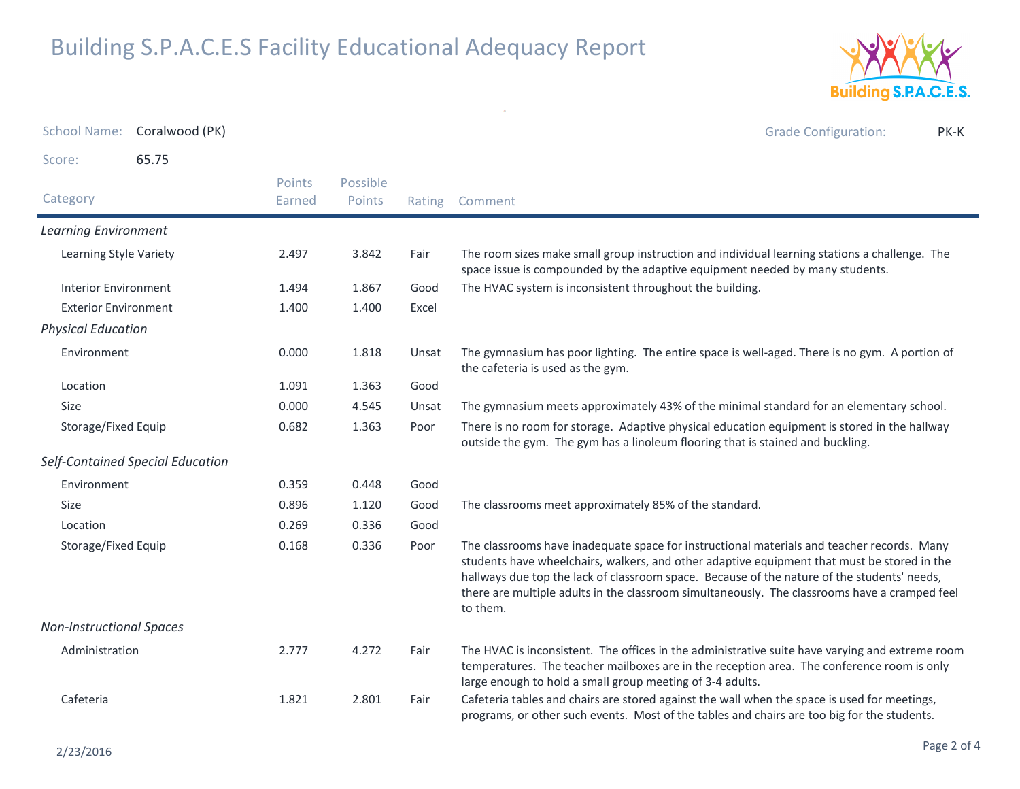

|                                 | School Name: Coralwood (PK)      |                  |                    |        | <b>Grade Configuration:</b><br>PK-K                                                                                                                                                                                                                                                                                                                                                                   |
|---------------------------------|----------------------------------|------------------|--------------------|--------|-------------------------------------------------------------------------------------------------------------------------------------------------------------------------------------------------------------------------------------------------------------------------------------------------------------------------------------------------------------------------------------------------------|
| Score:                          | 65.75                            |                  |                    |        |                                                                                                                                                                                                                                                                                                                                                                                                       |
| Category                        |                                  | Points<br>Earned | Possible<br>Points | Rating | Comment                                                                                                                                                                                                                                                                                                                                                                                               |
| <b>Learning Environment</b>     |                                  |                  |                    |        |                                                                                                                                                                                                                                                                                                                                                                                                       |
| Learning Style Variety          |                                  | 2.497            | 3.842              | Fair   | The room sizes make small group instruction and individual learning stations a challenge. The<br>space issue is compounded by the adaptive equipment needed by many students.                                                                                                                                                                                                                         |
| <b>Interior Environment</b>     |                                  | 1.494            | 1.867              | Good   | The HVAC system is inconsistent throughout the building.                                                                                                                                                                                                                                                                                                                                              |
| <b>Exterior Environment</b>     |                                  | 1.400            | 1.400              | Excel  |                                                                                                                                                                                                                                                                                                                                                                                                       |
| <b>Physical Education</b>       |                                  |                  |                    |        |                                                                                                                                                                                                                                                                                                                                                                                                       |
| Environment                     |                                  | 0.000            | 1.818              | Unsat  | The gymnasium has poor lighting. The entire space is well-aged. There is no gym. A portion of<br>the cafeteria is used as the gym.                                                                                                                                                                                                                                                                    |
| Location                        |                                  | 1.091            | 1.363              | Good   |                                                                                                                                                                                                                                                                                                                                                                                                       |
| <b>Size</b>                     |                                  | 0.000            | 4.545              | Unsat  | The gymnasium meets approximately 43% of the minimal standard for an elementary school.                                                                                                                                                                                                                                                                                                               |
| Storage/Fixed Equip             |                                  | 0.682            | 1.363              | Poor   | There is no room for storage. Adaptive physical education equipment is stored in the hallway<br>outside the gym. The gym has a linoleum flooring that is stained and buckling.                                                                                                                                                                                                                        |
|                                 | Self-Contained Special Education |                  |                    |        |                                                                                                                                                                                                                                                                                                                                                                                                       |
| Environment                     |                                  | 0.359            | 0.448              | Good   |                                                                                                                                                                                                                                                                                                                                                                                                       |
| <b>Size</b>                     |                                  | 0.896            | 1.120              | Good   | The classrooms meet approximately 85% of the standard.                                                                                                                                                                                                                                                                                                                                                |
| Location                        |                                  | 0.269            | 0.336              | Good   |                                                                                                                                                                                                                                                                                                                                                                                                       |
| Storage/Fixed Equip             |                                  | 0.168            | 0.336              | Poor   | The classrooms have inadequate space for instructional materials and teacher records. Many<br>students have wheelchairs, walkers, and other adaptive equipment that must be stored in the<br>hallways due top the lack of classroom space. Because of the nature of the students' needs,<br>there are multiple adults in the classroom simultaneously. The classrooms have a cramped feel<br>to them. |
| <b>Non-Instructional Spaces</b> |                                  |                  |                    |        |                                                                                                                                                                                                                                                                                                                                                                                                       |
| Administration                  |                                  | 2.777            | 4.272              | Fair   | The HVAC is inconsistent. The offices in the administrative suite have varying and extreme room<br>temperatures. The teacher mailboxes are in the reception area. The conference room is only<br>large enough to hold a small group meeting of 3-4 adults.                                                                                                                                            |
| Cafeteria                       |                                  | 1.821            | 2.801              | Fair   | Cafeteria tables and chairs are stored against the wall when the space is used for meetings,<br>programs, or other such events. Most of the tables and chairs are too big for the students.                                                                                                                                                                                                           |

 $\sim$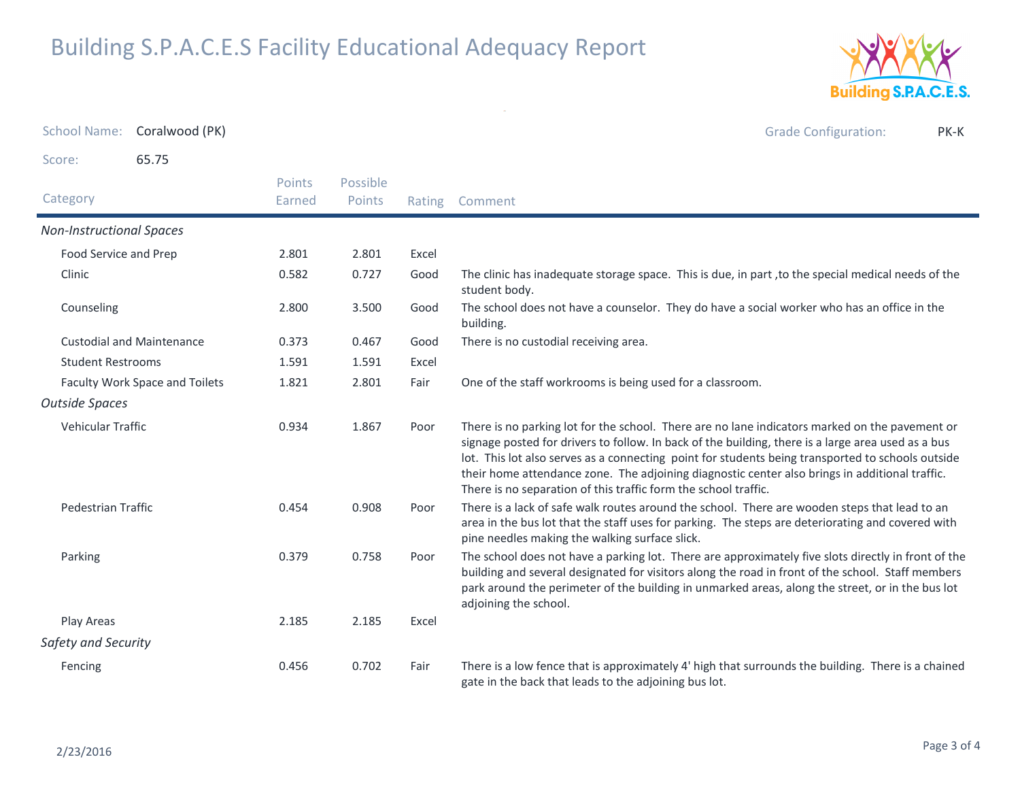

School Name: Coralwood (PK) Grade Configuration: PK-KScore: 65.75**Category**  Rating Comment Possible PointsPoints EarnedNon-Instructional SpacesFood Service and Prep 2.801 2.801 Excel Clinic0.727 Good The clinic has inadequate storage space. This is due, in part, to the special medical needs of the student body.0.582Good Counseling The school does not have a counselor. They do have a social worker who has an office in the building.2.8003.500 Custodial and Maintenance 0.373 0.467 Good There is no custodial receiving area. Student Restrooms 1.591 1.591 Excel Faculty Work Space and Toilets 1.821 2.801 Fair One of the staff workrooms is being used for a classroom. Outside SpacesVehicular Traffic There is no parking lot for the school. There are no lane indicators marked on the pavement or signage posted for drivers to follow. In back of the building, there is a large area used as a bus lot. This lot also serves as a connecting point for students being transported to schools outside their home attendance zone. The adjoining diagnostic center also brings in additional traffic. There is no separation of this traffic form the school traffic.0.9341.867 Pedestrian Traffic There is a lack of safe walk routes around the school. There are wooden steps that lead to an area in the bus lot that the staff uses for parking. The steps are deteriorating and covered with pine needles making the walking surface slick.0.454 $0.908$ ParkingPoor The school does not have a parking lot. There are approximately five slots directly in front of the building and several designated for visitors along the road in front of the school. Staff members park around the perimeter of the building in unmarked areas, along the street, or in the bus lot adjoining the school.0.379 $0.758$ Play Areas 2.185 2.185 Excel Safety and SecurityFencing There is a low fence that is approximately 4' high that surrounds the building. There is a chained gate in the back that leads to the adjoining bus lot.0.4560.702